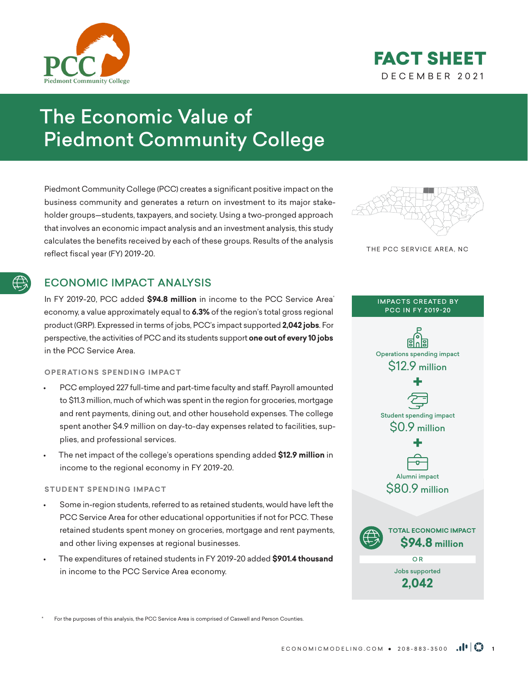



# The Economic Value of Piedmont Community College

Piedmont Community College (PCC) creates a significant positive impact on the business community and generates a return on investment to its major stakeholder groups—students, taxpayers, and society. Using a two-pronged approach that involves an economic impact analysis and an investment analysis, this study calculates the benefits received by each of these groups. Results of the analysis reflect fiscal year (FY) 2019-20.

# ECONOMIC IMPACT ANALYSIS

In FY 2019-20, PCC added **\$94.8 million** in income to the PCC Service Area\* economy, a value approximately equal to **6.3%** of the region's total gross regional product (GRP). Expressed in terms of jobs, PCC's impact supported **2,042 jobs**. For perspective, the activities of PCC and its students support **one out of every 10 jobs** in the PCC Service Area.

### **OPERATIONS SPENDING IMPACT**

- PCC employed 227 full-time and part-time faculty and staff. Payroll amounted to \$11.3 million, much of which was spent in the region for groceries, mortgage and rent payments, dining out, and other household expenses. The college spent another \$4.9 million on day-to-day expenses related to facilities, supplies, and professional services.
- The net impact of the college's operations spending added **\$12.9 million** in income to the regional economy in FY 2019-20.

### **STUDENT SPENDING IMPACT**

- Some in-region students, referred to as retained students, would have left the PCC Service Area for other educational opportunities if not for PCC. These retained students spent money on groceries, mortgage and rent payments, and other living expenses at regional businesses.
- The expenditures of retained students in FY 2019-20 added **\$901.4 thousand** in income to the PCC Service Area economy.





#### IMPACTS CREATED BY PCC IN FY 2019-20



For the purposes of this analysis, the PCC Service Area is comprised of Caswell and Person Counties.